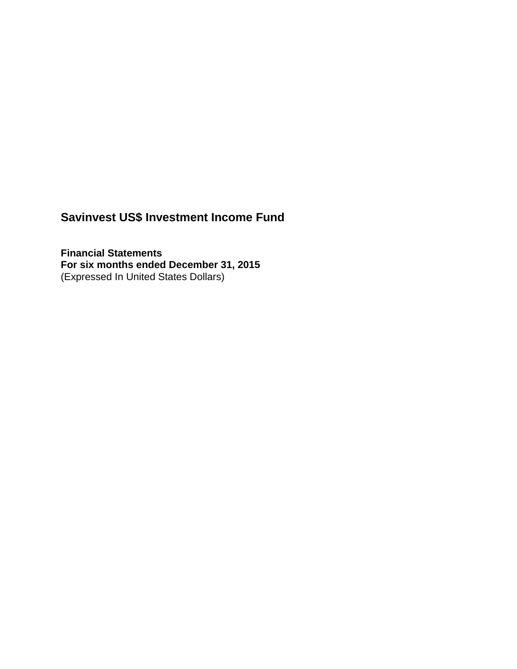**Financial Statements For six months ended December 31, 2015** (Expressed In United States Dollars)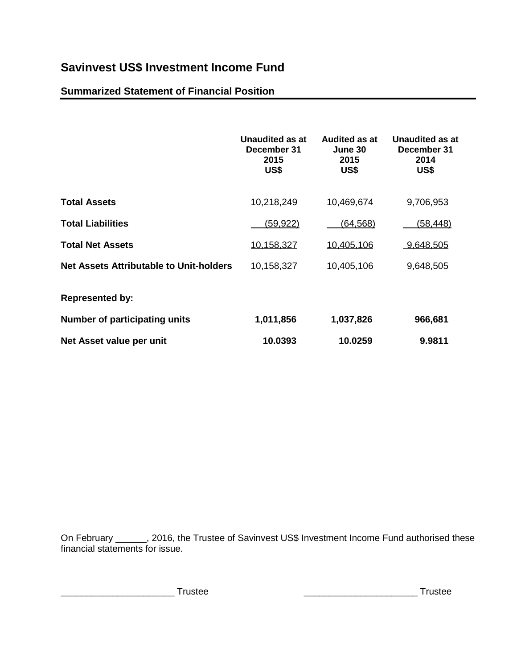#### **Summarized Statement of Financial Position**

|                                                | Unaudited as at<br>December 31<br>2015<br>US\$ | <b>Audited as at</b><br>June 30<br>2015<br>US\$ | <b>Unaudited as at</b><br>December 31<br>2014<br>US\$ |
|------------------------------------------------|------------------------------------------------|-------------------------------------------------|-------------------------------------------------------|
| <b>Total Assets</b>                            | 10,218,249                                     | 10,469,674                                      | 9,706,953                                             |
| <b>Total Liabilities</b>                       | (59,922)                                       | (64, 568)                                       | (58,448)                                              |
| <b>Total Net Assets</b>                        | 10,158,327                                     | 10,405,106                                      | 9,648,505                                             |
| <b>Net Assets Attributable to Unit-holders</b> | 10,158,327                                     | 10,405,106                                      | 9.648,505                                             |
| <b>Represented by:</b>                         |                                                |                                                 |                                                       |
| <b>Number of participating units</b>           | 1,011,856                                      | 1,037,826                                       | 966,681                                               |
| Net Asset value per unit                       | 10.0393                                        | 10.0259                                         | 9.9811                                                |

On February \_\_\_\_\_\_, 2016, the Trustee of Savinvest US\$ Investment Income Fund authorised these financial statements for issue.

\_\_\_\_\_\_\_\_\_\_\_\_\_\_\_\_\_\_\_\_\_\_ Trustee \_\_\_\_\_\_\_\_\_\_\_\_\_\_\_\_\_\_\_\_\_\_ Trustee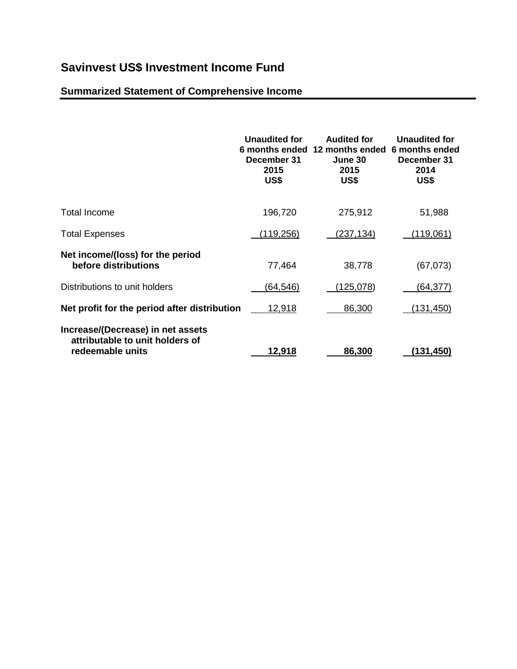### **Summarized Statement of Comprehensive Income**

|                                                                                          | <b>Unaudited for</b><br>December 31<br>2015<br>US\$ | <b>Audited for</b><br>6 months ended 12 months ended<br>June 30<br>2015<br>US\$ | <b>Unaudited for</b><br>6 months ended<br>December 31<br>2014<br>US\$ |
|------------------------------------------------------------------------------------------|-----------------------------------------------------|---------------------------------------------------------------------------------|-----------------------------------------------------------------------|
| Total Income                                                                             | 196,720                                             | 275,912                                                                         | 51,988                                                                |
| <b>Total Expenses</b>                                                                    | (119,256)                                           | <u>(237,134)</u>                                                                | <u>(119,061)</u>                                                      |
| Net income/(loss) for the period<br>before distributions                                 | 77,464                                              | 38,778                                                                          | (67,073)                                                              |
| Distributions to unit holders                                                            | (64,546)                                            | (125,078)                                                                       | (64,377)                                                              |
| Net profit for the period after distribution                                             | 12,918                                              | 86,300                                                                          | (131,450)                                                             |
| Increase/(Decrease) in net assets<br>attributable to unit holders of<br>redeemable units | 12,918                                              | 86,300                                                                          | (131,450)                                                             |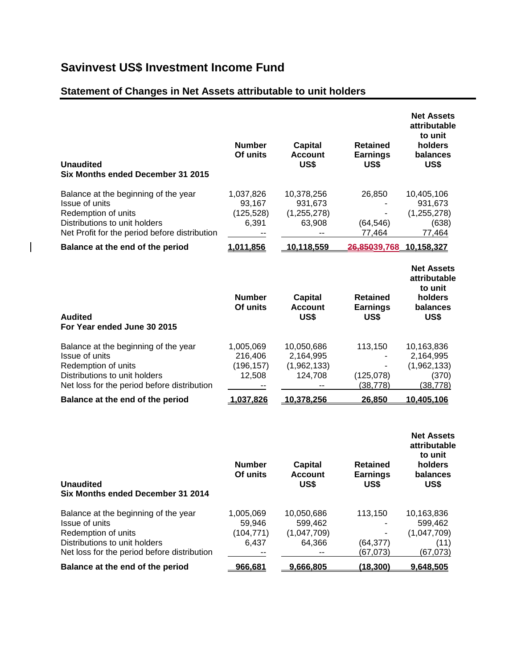$\overline{\phantom{a}}$ 

### **Statement of Changes in Net Assets attributable to unit holders**

| <b>Unaudited</b><br>Six Months ended December 31 2015                                                                                                           | <b>Number</b><br>Of units                                              | <b>Capital</b><br><b>Account</b><br>US\$                         | <b>Retained</b><br><b>Earnings</b><br>US\$ | <b>Net Assets</b><br>attributable<br>to unit<br>holders<br>balances<br>US\$ |
|-----------------------------------------------------------------------------------------------------------------------------------------------------------------|------------------------------------------------------------------------|------------------------------------------------------------------|--------------------------------------------|-----------------------------------------------------------------------------|
| Balance at the beginning of the year<br>Issue of units<br>Redemption of units<br>Distributions to unit holders<br>Net Profit for the period before distribution | 1,037,826<br>93,167<br>(125, 528)<br>6,391<br>$\overline{\phantom{m}}$ | 10,378,256<br>931,673<br>(1,255,278)<br>63,908<br>$\overline{a}$ | 26,850<br>(64, 546)<br>77,464              | 10,405,106<br>931,673<br>(1, 255, 278)<br>(638)<br>77,464                   |
| Balance at the end of the period                                                                                                                                | 1,011,856                                                              | 10.118.559                                                       | 26.85039,768                               | 10.158.327                                                                  |
| <b>Audited</b><br>For Year ended June 30 2015                                                                                                                   | <b>Number</b><br>Of units                                              | <b>Capital</b><br><b>Account</b><br>US\$                         | <b>Retained</b><br><b>Earnings</b><br>US\$ | <b>Net Assets</b><br>attributable<br>to unit<br>holders<br>balances<br>US\$ |
| Balance at the beginning of the year<br>Issue of units<br>Redemption of units<br>Distributions to unit holders<br>Net loss for the period before distribution   | 1,005,069<br>216,406<br>(196, 157)<br>12,508<br>÷÷                     | 10,050,686<br>2,164,995<br>(1,962,133)<br>124,708                | 113,150<br>(125,078)<br>(38, 778)          | 10,163,836<br>2,164,995<br>(1,962,133)<br>(370)<br>(38, 778)                |
| Balance at the end of the period                                                                                                                                | 1,037,826                                                              | 10,378,256                                                       | 26,850                                     | 10,405,106                                                                  |
| <b>Unaudited</b><br><b>Six Months ended December 31 2014</b>                                                                                                    | <b>Number</b><br>Of units                                              | <b>Capital</b><br><b>Account</b><br>US\$                         | <b>Retained</b><br><b>Earnings</b><br>US\$ | <b>Net Assets</b><br>attributable<br>to unit<br>holders<br>balances<br>US\$ |
| Balance at the beginning of the year<br><b>Issue of units</b><br>Redemption of units                                                                            | 1,005,069<br>59,946<br>(104, 771)                                      | 10,050,686<br>599,462<br>(1,047,709)                             | 113,150                                    | 10,163,836<br>599,462<br>(1,047,709)                                        |

| Balance at the end of the period            | 966.681           | 9.666.805   | (18.300)  | 9.648.505    |
|---------------------------------------------|-------------------|-------------|-----------|--------------|
| Net loss for the period before distribution | $- -$             | $- -$       | (67.073)  | (67,073)     |
| Distributions to unit holders               | 6.437             | 64.366      | (64, 377) | (11)         |
| <b>INGULIPHOT OF GETTU</b>                  | , , , , , , , , , | ,,,,,,,,,,, |           | ,,,,,,,,,,,, |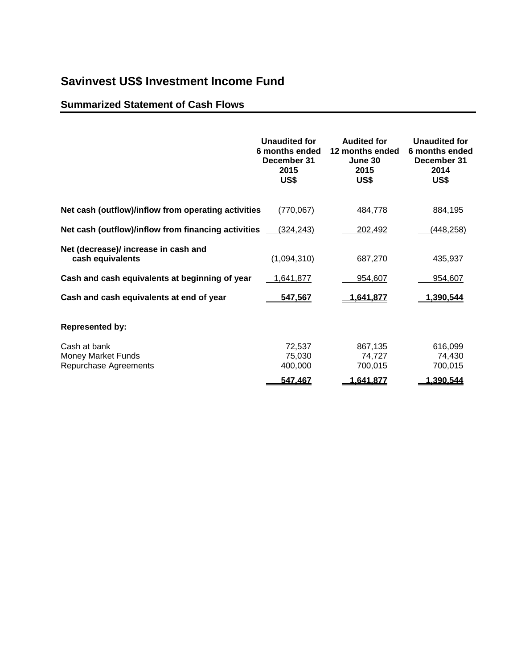### **Summarized Statement of Cash Flows**

|                                                                    | <b>Unaudited for</b><br>6 months ended<br>December 31<br>2015<br>US\$ | <b>Audited for</b><br>12 months ended<br>June 30<br>2015<br>US\$ | <b>Unaudited for</b><br>6 months ended<br>December 31<br>2014<br>US\$ |
|--------------------------------------------------------------------|-----------------------------------------------------------------------|------------------------------------------------------------------|-----------------------------------------------------------------------|
| Net cash (outflow)/inflow from operating activities                | (770, 067)                                                            | 484,778                                                          | 884,195                                                               |
| Net cash (outflow)/inflow from financing activities                | (324, 243)                                                            | 202,492                                                          | (448, 258)                                                            |
| Net (decrease)/ increase in cash and<br>cash equivalents           | (1,094,310)                                                           | 687,270                                                          | 435,937                                                               |
| Cash and cash equivalents at beginning of year                     | 1,641,877                                                             | 954,607                                                          | 954,607                                                               |
| Cash and cash equivalents at end of year                           | 547,567                                                               | 1,641,877                                                        | 1,390,544                                                             |
| <b>Represented by:</b>                                             |                                                                       |                                                                  |                                                                       |
| Cash at bank<br><b>Money Market Funds</b><br>Repurchase Agreements | 72,537<br>75,030<br>400,000                                           | 867,135<br>74,727<br>700,015                                     | 616,099<br>74,430<br>700,015                                          |
|                                                                    | 547,467                                                               | 1,641,877                                                        | 1,390,544                                                             |